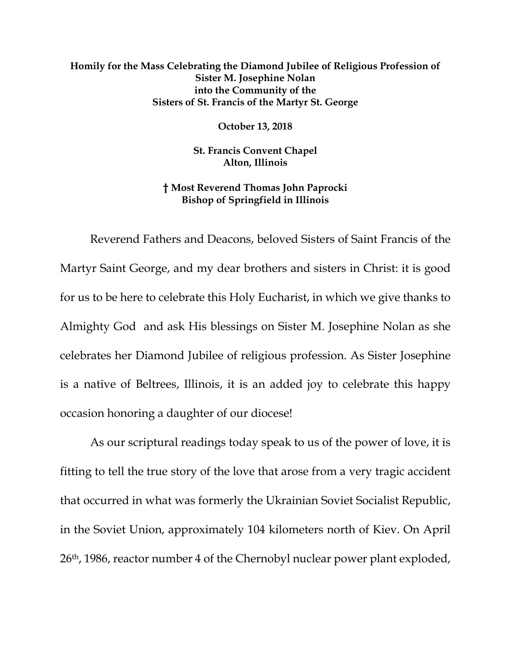## **Homily for the Mass Celebrating the Diamond Jubilee of Religious Profession of Sister M. Josephine Nolan into the Community of the Sisters of St. Francis of the Martyr St. George**

**October 13, 2018**

**St. Francis Convent Chapel Alton, Illinois**

**† Most Reverend Thomas John Paprocki Bishop of Springfield in Illinois**

Reverend Fathers and Deacons, beloved Sisters of Saint Francis of the Martyr Saint George, and my dear brothers and sisters in Christ: it is good for us to be here to celebrate this Holy Eucharist, in which we give thanks to Almighty God and ask His blessings on Sister M. Josephine Nolan as she celebrates her Diamond Jubilee of religious profession. As Sister Josephine is a native of Beltrees, Illinois, it is an added joy to celebrate this happy occasion honoring a daughter of our diocese!

As our scriptural readings today speak to us of the power of love, it is fitting to tell the true story of the love that arose from a very tragic accident that occurred in what was formerly the Ukrainian Soviet Socialist Republic, in the Soviet Union, approximately 104 kilometers north of Kiev. On April 26th, 1986, reactor number 4 of the Chernobyl nuclear power plant exploded,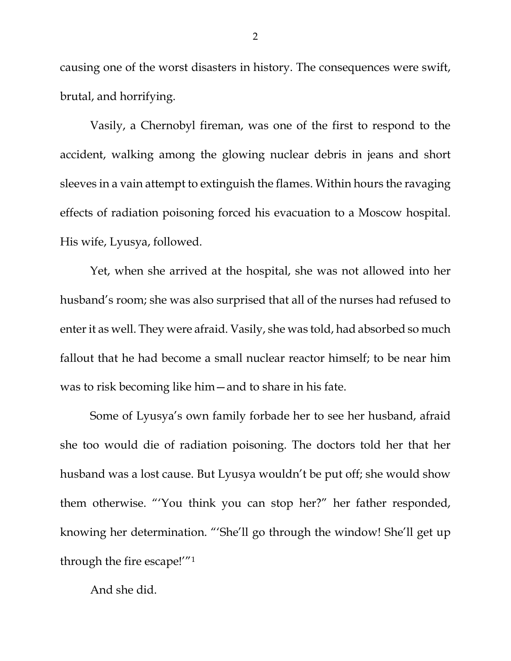causing one of the worst disasters in history. The consequences were swift, brutal, and horrifying.

Vasily, a Chernobyl fireman, was one of the first to respond to the accident, walking among the glowing nuclear debris in jeans and short sleeves in a vain attempt to extinguish the flames. Within hours the ravaging effects of radiation poisoning forced his evacuation to a Moscow hospital. His wife, Lyusya, followed.

Yet, when she arrived at the hospital, she was not allowed into her husband's room; she was also surprised that all of the nurses had refused to enter it as well. They were afraid. Vasily, she was told, had absorbed so much fallout that he had become a small nuclear reactor himself; to be near him was to risk becoming like him—and to share in his fate.

Some of Lyusya's own family forbade her to see her husband, afraid she too would die of radiation poisoning. The doctors told her that her husband was a lost cause. But Lyusya wouldn't be put off; she would show them otherwise. "'You think you can stop her?" her father responded, knowing her determination. "'She'll go through the window! She'll get up through the fire escape!'["1](#page-3-0)

And she did.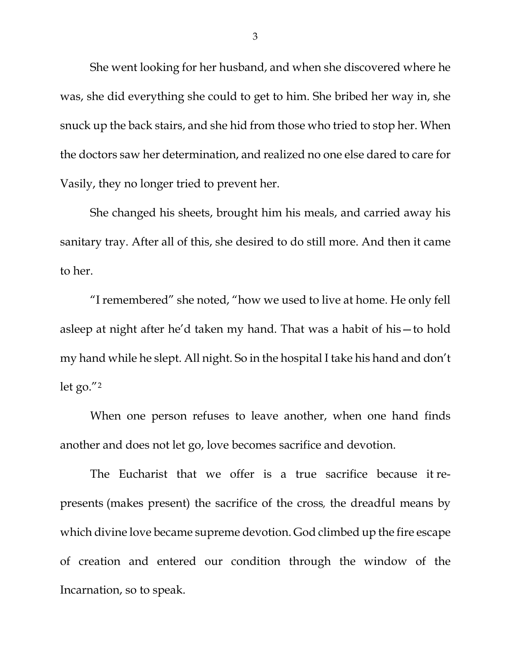She went looking for her husband, and when she discovered where he was, she did everything she could to get to him. She bribed her way in, she snuck up the back stairs, and she hid from those who tried to stop her. When the doctors saw her determination, and realized no one else dared to care for Vasily, they no longer tried to prevent her.

She changed his sheets, brought him his meals, and carried away his sanitary tray. After all of this, she desired to do still more. And then it came to her.

"I remembered" she noted, "how we used to live at home. He only fell asleep at night after he'd taken my hand. That was a habit of his—to hold my hand while he slept. All night. So in the hospital I take his hand and don't let go."[2](#page-3-1)

When one person refuses to leave another, when one hand finds another and does not let go, love becomes sacrifice and devotion.

The Eucharist that we offer is a true sacrifice because it represents (makes present) the sacrifice of the cross*,* the dreadful means by which divine love became supreme devotion. God climbed up the fire escape of creation and entered our condition through the window of the Incarnation, so to speak.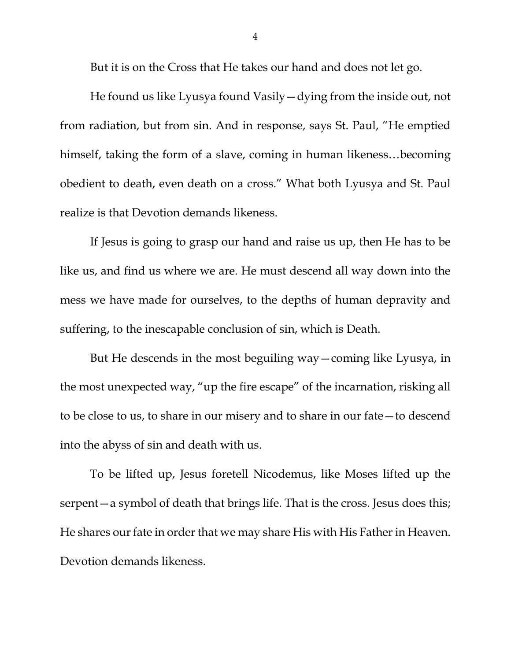But it is on the Cross that He takes our hand and does not let go.

He found us like Lyusya found Vasily—dying from the inside out, not from radiation, but from sin. And in response, says St. Paul, "He emptied himself, taking the form of a slave, coming in human likeness…becoming obedient to death, even death on a cross." What both Lyusya and St. Paul realize is that Devotion demands likeness.

If Jesus is going to grasp our hand and raise us up, then He has to be like us, and find us where we are. He must descend all way down into the mess we have made for ourselves, to the depths of human depravity and suffering, to the inescapable conclusion of sin, which is Death.

But He descends in the most beguiling way—coming like Lyusya, in the most unexpected way, "up the fire escape" of the incarnation, risking all to be close to us, to share in our misery and to share in our fate—to descend into the abyss of sin and death with us.

<span id="page-3-1"></span><span id="page-3-0"></span>To be lifted up, Jesus foretell Nicodemus, like Moses lifted up the serpent—a symbol of death that brings life. That is the cross. Jesus does this; He shares our fate in order that we may share His with His Father in Heaven. Devotion demands likeness.

4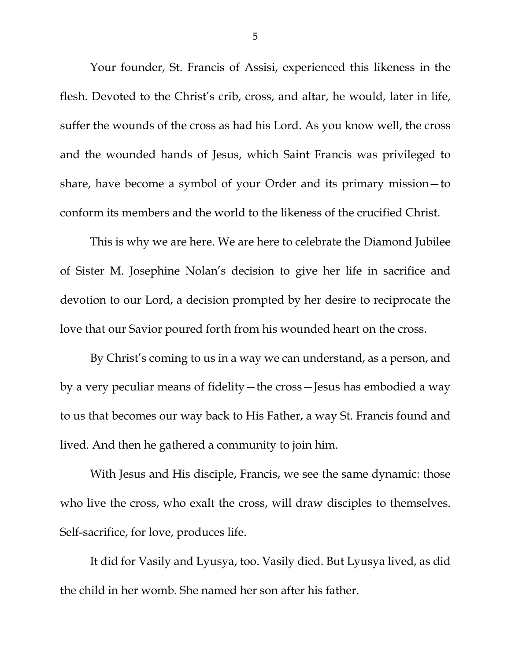Your founder, St. Francis of Assisi, experienced this likeness in the flesh. Devoted to the Christ's crib, cross, and altar, he would, later in life, suffer the wounds of the cross as had his Lord. As you know well, the cross and the wounded hands of Jesus, which Saint Francis was privileged to share, have become a symbol of your Order and its primary mission—to conform its members and the world to the likeness of the crucified Christ.

This is why we are here. We are here to celebrate the Diamond Jubilee of Sister M. Josephine Nolan's decision to give her life in sacrifice and devotion to our Lord, a decision prompted by her desire to reciprocate the love that our Savior poured forth from his wounded heart on the cross.

By Christ's coming to us in a way we can understand, as a person, and by a very peculiar means of fidelity—the cross—Jesus has embodied a way to us that becomes our way back to His Father, a way St. Francis found and lived. And then he gathered a community to join him.

With Jesus and His disciple, Francis, we see the same dynamic: those who live the cross, who exalt the cross, will draw disciples to themselves. Self-sacrifice, for love, produces life.

It did for Vasily and Lyusya, too. Vasily died. But Lyusya lived, as did the child in her womb. She named her son after his father.

5